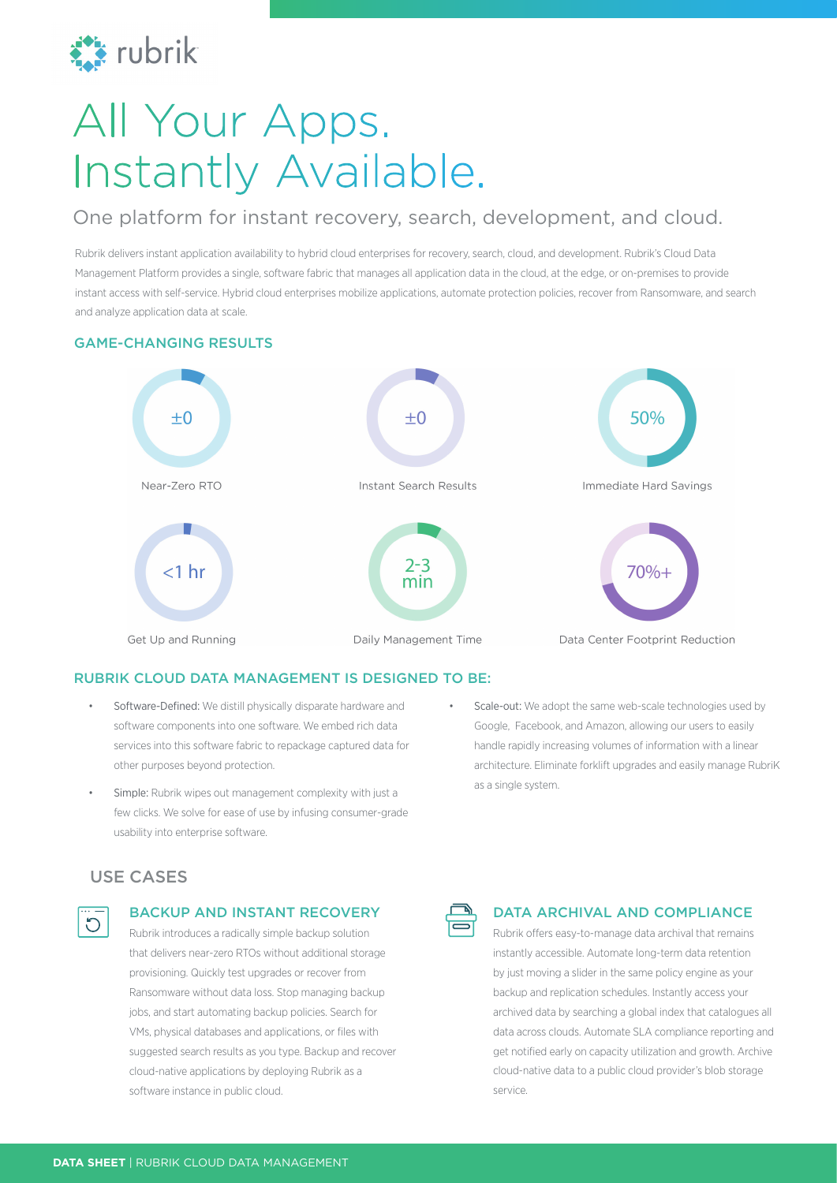

# All Your Apps. Instantly Available.

## One platform for instant recovery, search, development, and cloud.

Rubrik delivers instant application availability to hybrid cloud enterprises for recovery, search, cloud, and development. Rubrik's Cloud Data Management Platform provides a single, software fabric that manages all application data in the cloud, at the edge, or on-premises to provide instant access with self-service. Hybrid cloud enterprises mobilize applications, automate protection policies, recover from Ransomware, and search and analyze application data at scale.

#### GAME-CHANGING RESULTS



#### RUBRIK CLOUD DATA MANAGEMENT IS DESIGNED TO BE:

- Software-Defined: We distill physically disparate hardware and software components into one software. We embed rich data services into this software fabric to repackage captured data for other purposes beyond protection.
- Simple: Rubrik wipes out management complexity with just a few clicks. We solve for ease of use by infusing consumer-grade usability into enterprise software.
- Scale-out: We adopt the same web-scale technologies used by Google, Facebook, and Amazon, allowing our users to easily handle rapidly increasing volumes of information with a linear architecture. Eliminate forklift upgrades and easily manage RubriK as a single system.

## USE CASES



#### BACKUP AND INSTANT RECOVERY

Rubrik introduces a radically simple backup solution that delivers near-zero RTOs without additional storage provisioning. Quickly test upgrades or recover from Ransomware without data loss. Stop managing backup jobs, and start automating backup policies. Search for VMs, physical databases and applications, or files with suggested search results as you type. Backup and recover cloud-native applications by deploying Rubrik as a software instance in public cloud.



#### DATA ARCHIVAL AND COMPLIANCE

Rubrik offers easy-to-manage data archival that remains instantly accessible. Automate long-term data retention by just moving a slider in the same policy engine as your backup and replication schedules. Instantly access your archived data by searching a global index that catalogues all data across clouds. Automate SLA compliance reporting and get notified early on capacity utilization and growth. Archive cloud-native data to a public cloud provider's blob storage service.